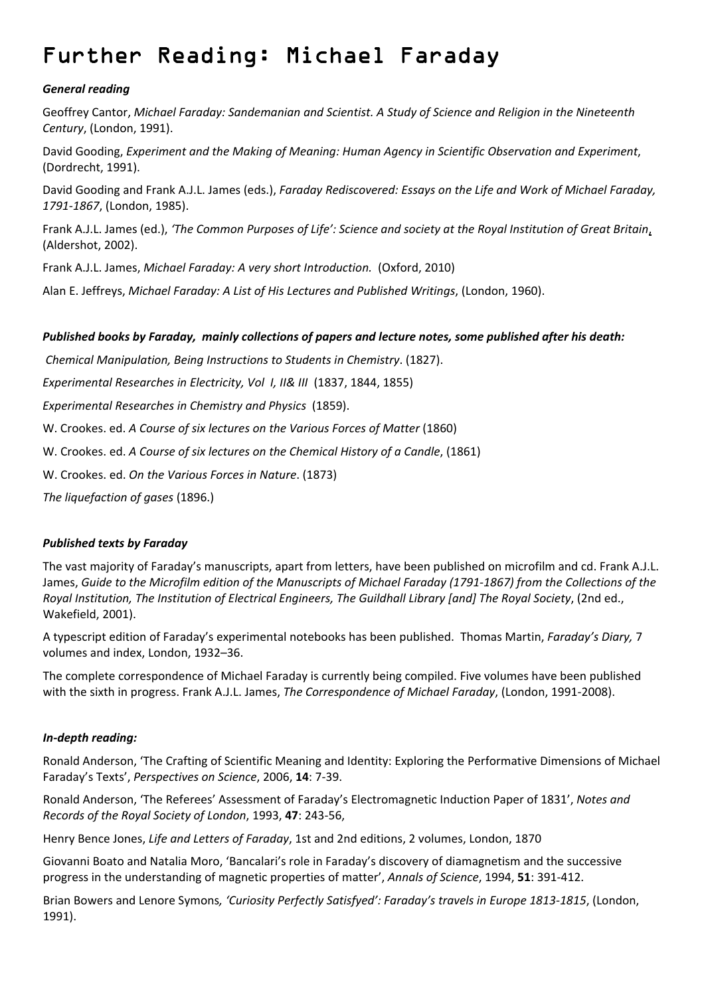# Further Reading: Michael Faraday

## *General reading*

Geoffrey Cantor, *Michael Faraday: Sandemanian and Scientist. A Study of Science and Religion in the Nineteenth Century*, (London, 1991).

David Gooding, *Experiment and the Making of Meaning: Human Agency in Scientific Observation and Experiment*, (Dordrecht, 1991).

David Gooding and Frank A.J.L. James (eds.), *Faraday Rediscovered: Essays on the Life and Work of Michael Faraday, 1791‐1867*, (London, 1985).

Frank A.J.L. James (ed.), *'The Common Purposes of Life': Science and society at the Royal Institution of Great Britain*, (Aldershot, 2002).

Frank A.J.L. James, *Michael Faraday: A very short Introduction.* (Oxford, 2010)

Alan E. Jeffreys, *Michael Faraday: A List of His Lectures and Published Writings*, (London, 1960).

## Published books by Faraday, mainly collections of papers and lecture notes, some published after his death:

*Chemical Manipulation, Being Instructions to Students in Chemistry*. (1827).

*Experimental Researches in Electricity, Vol I, II& III* (1837, 1844, 1855)

*Experimental Researches in Chemistry and Physics* (1859).

W. Crookes. ed. *A Course of six lectures on the Various Forces of Matter* (1860)

W. Crookes. ed. *A Course of six lectures on the Chemical History of a Candle*, (1861)

W. Crookes. ed. *On the Various Forces in Nature*. (1873)

*The liquefaction of gases* (1896.)

## *Published texts by Faraday*

The vast majority of Faraday's manuscripts, apart from letters, have been published on microfilm and cd. Frank A.J.L. James, Guide to the Microfilm edition of the Manuscripts of Michael Faraday (1791-1867) from the Collections of the *Royal Institution, The Institution of Electrical Engineers, The Guildhall Library [and] The Royal Society*, (2nd ed., Wakefield, 2001).

A typescript edition of Faraday's experimental notebooks has been published. Thomas Martin, *Faraday's Diary,* 7 volumes and index, London, 1932–36.

The complete correspondence of Michael Faraday is currently being compiled. Five volumes have been published with the sixth in progress. Frank A.J.L. James, *The Correspondence of Michael Faraday*, (London, 1991‐2008).

### *In‐depth reading:*

Ronald Anderson, 'The Crafting of Scientific Meaning and Identity: Exploring the Performative Dimensions of Michael Faraday's Texts', *Perspectives on Science*, 2006, **14**: 7‐39.

Ronald Anderson, 'The Referees' Assessment of Faraday's Electromagnetic Induction Paper of 1831', *Notes and Records of the Royal Society of London*, 1993, **47**: 243‐56,

Henry Bence Jones, *Life and Letters of Faraday*, 1st and 2nd editions, 2 volumes, London, 1870

Giovanni Boato and Natalia Moro, 'Bancalari's role in Faraday's discovery of diamagnetism and the successive progress in the understanding of magnetic properties of matter', *Annals of Science*, 1994, **51**: 391‐412.

Brian Bowers and Lenore Symons*, 'Curiosity Perfectly Satisfyed': Faraday's travels in Europe 1813‐1815*, (London, 1991).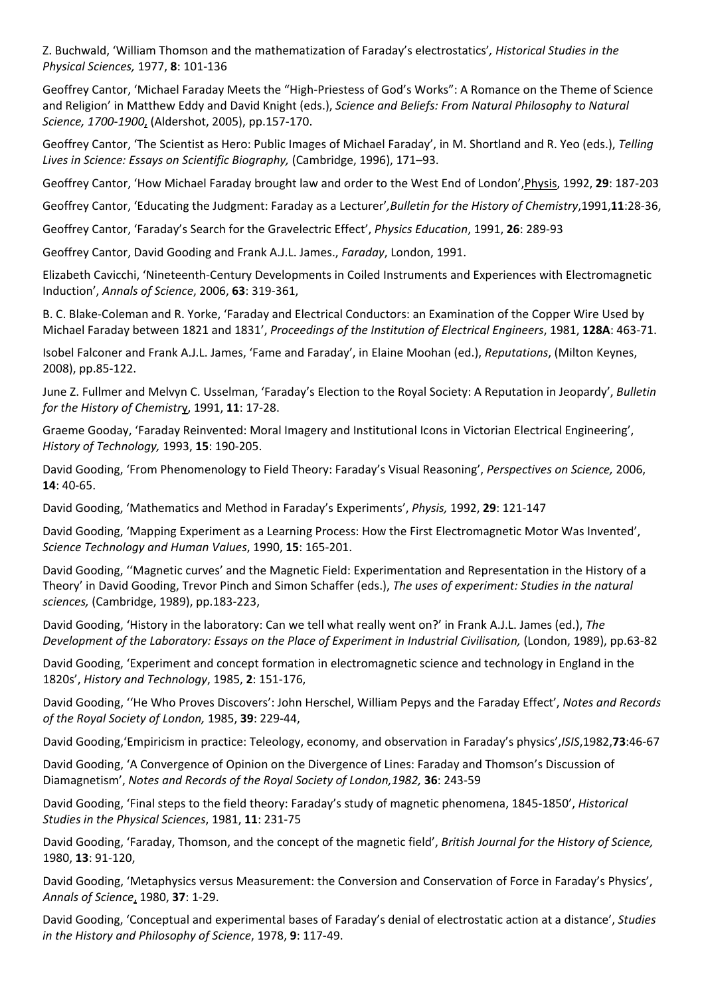Z. Buchwald, 'William Thomson and the mathematization of Faraday's electrostatics'*, Historical Studies in the Physical Sciences,* 1977, **8**: 101‐136

Geoffrey Cantor, 'Michael Faraday Meets the "High‐Priestess of God's Works": A Romance on the Theme of Science and Religion' in Matthew Eddy and David Knight (eds.), *Science and Beliefs: From Natural Philosophy to Natural Science, 1700‐1900*, (Aldershot, 2005), pp.157‐170.

Geoffrey Cantor, 'The Scientist as Hero: Public Images of Michael Faraday', in M. Shortland and R. Yeo (eds.), *Telling Lives in Science: Essays on Scientific Biography,* (Cambridge, 1996), 171–93.

Geoffrey Cantor, 'How Michael Faraday brought law and order to the West End of London',Physis, 1992, **29**: 187‐203

Geoffrey Cantor, 'Educating the Judgment: Faraday as a Lecturer'*,Bulletin for the History of Chemistry*,1991,**11**:28‐36,

Geoffrey Cantor, 'Faraday's Search for the Gravelectric Effect', *Physics Education*, 1991, **26**: 289‐93

Geoffrey Cantor, David Gooding and Frank A.J.L. James., *Faraday*, London, 1991.

Elizabeth Cavicchi, 'Nineteenth‐Century Developments in Coiled Instruments and Experiences with Electromagnetic Induction', *Annals of Science*, 2006, **63**: 319‐361,

B. C. Blake‐Coleman and R. Yorke, 'Faraday and Electrical Conductors: an Examination of the Copper Wire Used by Michael Faraday between 1821 and 1831', *Proceedings of the Institution of Electrical Engineers*, 1981, **128A**: 463‐71.

Isobel Falconer and Frank A.J.L. James, 'Fame and Faraday', in Elaine Moohan (ed.), *Reputations*, (Milton Keynes, 2008), pp.85‐122.

June Z. Fullmer and Melvyn C. Usselman, 'Faraday's Election to the Royal Society: A Reputation in Jeopardy', *Bulletin for the History of Chemistr*y, 1991, **11**: 17‐28.

Graeme Gooday, 'Faraday Reinvented: Moral Imagery and Institutional Icons in Victorian Electrical Engineering', *History of Technology,* 1993, **15**: 190‐205.

David Gooding, 'From Phenomenology to Field Theory: Faraday's Visual Reasoning', *Perspectives on Science,* 2006, **14**: 40‐65.

David Gooding, 'Mathematics and Method in Faraday's Experiments', *Physis,* 1992, **29**: 121‐147

David Gooding, 'Mapping Experiment as a Learning Process: How the First Electromagnetic Motor Was Invented', *Science Technology and Human Values*, 1990, **15**: 165‐201.

David Gooding, ''Magnetic curves' and the Magnetic Field: Experimentation and Representation in the History of a Theory' in David Gooding, Trevor Pinch and Simon Schaffer (eds.), *The uses of experiment: Studies in the natural sciences,* (Cambridge, 1989), pp.183‐223,

David Gooding, 'History in the laboratory: Can we tell what really went on?' in Frank A.J.L. James (ed.), *The Development of the Laboratory: Essays on the Place of Experiment in Industrial Civilisation,* (London, 1989), pp.63‐82

David Gooding, 'Experiment and concept formation in electromagnetic science and technology in England in the 1820s', *History and Technology*, 1985, **2**: 151‐176,

David Gooding, ''He Who Proves Discovers': John Herschel, William Pepys and the Faraday Effect', *Notes and Records of the Royal Society of London,* 1985, **39**: 229‐44,

David Gooding,'Empiricism in practice: Teleology, economy, and observation in Faraday's physics',*ISIS*,1982,**73**:46‐67

David Gooding, 'A Convergence of Opinion on the Divergence of Lines: Faraday and Thomson's Discussion of Diamagnetism', *Notes and Records of the Royal Society of London,1982,* **36**: 243‐59

David Gooding, 'Final steps to the field theory: Faraday's study of magnetic phenomena, 1845‐1850', *Historical Studies in the Physical Sciences*, 1981, **11**: 231‐75

David Gooding, 'Faraday, Thomson, and the concept of the magnetic field', *British Journal for the History of Science,* 1980, **13**: 91‐120,

David Gooding, 'Metaphysics versus Measurement: the Conversion and Conservation of Force in Faraday's Physics', *Annals of Science*, 1980, **37**: 1‐29.

David Gooding, 'Conceptual and experimental bases of Faraday's denial of electrostatic action at a distance', *Studies in the History and Philosophy of Science*, 1978, **9**: 117‐49.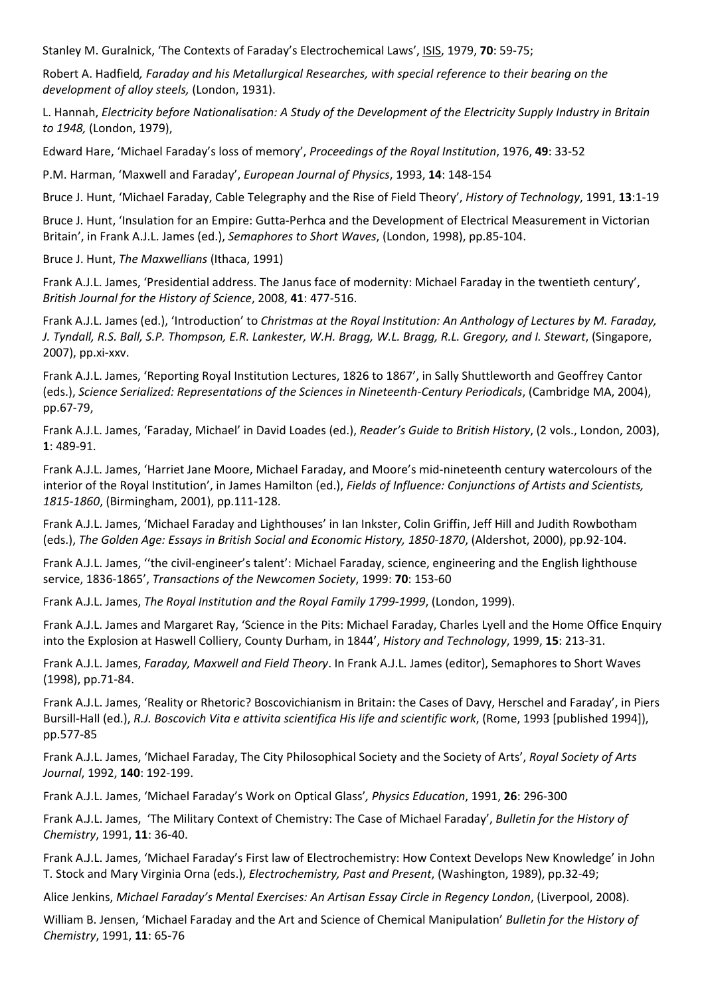Stanley M. Guralnick, 'The Contexts of Faraday's Electrochemical Laws', ISIS, 1979, **70**: 59‐75;

Robert A. Hadfield*, Faraday and his Metallurgical Researches, with special reference to their bearing on the development of alloy steels,* (London, 1931).

L. Hannah, *Electricity before Nationalisation: A Study of the Development of the Electricity Supply Industry in Britain to 1948,* (London, 1979),

Edward Hare, 'Michael Faraday's loss of memory', *Proceedings of the Royal Institution*, 1976, **49**: 33‐52

P.M. Harman, 'Maxwell and Faraday', *European Journal of Physics*, 1993, **14**: 148‐154

Bruce J. Hunt, 'Michael Faraday, Cable Telegraphy and the Rise of Field Theory', *History of Technology*, 1991, **13**:1‐19

Bruce J. Hunt, 'Insulation for an Empire: Gutta-Perhca and the Development of Electrical Measurement in Victorian Britain', in Frank A.J.L. James (ed.), *Semaphores to Short Waves*, (London, 1998), pp.85‐104.

Bruce J. Hunt, *The Maxwellians* (Ithaca, 1991)

Frank A.J.L. James, 'Presidential address. The Janus face of modernity: Michael Faraday in the twentieth century', *British Journal for the History of Science*, 2008, **41**: 477‐516.

Frank A.J.L. James (ed.), 'Introduction' to *Christmas at the Royal Institution: An Anthology of Lectures by M. Faraday,* J. Tyndall, R.S. Ball, S.P. Thompson, E.R. Lankester, W.H. Bragg, W.L. Bragg, R.L. Gregory, and I. Stewart, (Singapore, 2007), pp.xi‐xxv.

Frank A.J.L. James, 'Reporting Royal Institution Lectures, 1826 to 1867', in Sally Shuttleworth and Geoffrey Cantor (eds.), *Science Serialized: Representations of the Sciences in Nineteenth‐Century Periodicals*, (Cambridge MA, 2004), pp.67‐79,

Frank A.J.L. James, 'Faraday, Michael' in David Loades (ed.), *Reader's Guide to British History*, (2 vols., London, 2003), **1**: 489‐91.

Frank A.J.L. James, 'Harriet Jane Moore, Michael Faraday, and Moore's mid‐nineteenth century watercolours of the interior of the Royal Institution', in James Hamilton (ed.), *Fields of Influence: Conjunctions of Artists and Scientists, 1815‐1860*, (Birmingham, 2001), pp.111‐128.

Frank A.J.L. James, 'Michael Faraday and Lighthouses' in Ian Inkster, Colin Griffin, Jeff Hill and Judith Rowbotham (eds.), *The Golden Age: Essays in British Social and Economic History, 1850‐1870*, (Aldershot, 2000), pp.92‐104.

Frank A.J.L. James, ''the civil‐engineer's talent': Michael Faraday, science, engineering and the English lighthouse service, 1836‐1865', *Transactions of the Newcomen Society*, 1999: **70**: 153‐60

Frank A.J.L. James, *The Royal Institution and the Royal Family 1799‐1999*, (London, 1999).

Frank A.J.L. James and Margaret Ray, 'Science in the Pits: Michael Faraday, Charles Lyell and the Home Office Enquiry into the Explosion at Haswell Colliery, County Durham, in 1844', *History and Technology*, 1999, **15**: 213‐31.

Frank A.J.L. James, *Faraday, Maxwell and Field Theory*. In Frank A.J.L. James (editor), Semaphores to Short Waves (1998), pp.71‐84.

Frank A.J.L. James, 'Reality or Rhetoric? Boscovichianism in Britain: the Cases of Davy, Herschel and Faraday', in Piers Bursill‐Hall (ed.), *R.J. Boscovich Vita e attivita scientifica His life and scientific work*, (Rome, 1993 [published 1994]), pp.577‐85

Frank A.J.L. James, 'Michael Faraday, The City Philosophical Society and the Society of Arts', *Royal Society of Arts Journal*, 1992, **140**: 192‐199.

Frank A.J.L. James, 'Michael Faraday's Work on Optical Glass'*, Physics Education*, 1991, **26**: 296‐300

Frank A.J.L. James, 'The Military Context of Chemistry: The Case of Michael Faraday', *Bulletin for the History of Chemistry*, 1991, **11**: 36‐40.

Frank A.J.L. James, 'Michael Faraday's First law of Electrochemistry: How Context Develops New Knowledge' in John T. Stock and Mary Virginia Orna (eds.), *Electrochemistry, Past and Present*, (Washington, 1989), pp.32‐49;

Alice Jenkins, *Michael Faraday's Mental Exercises: An Artisan Essay Circle in Regency London*, (Liverpool, 2008).

William B. Jensen, 'Michael Faraday and the Art and Science of Chemical Manipulation' *Bulletin for the History of Chemistry*, 1991, **11**: 65‐76